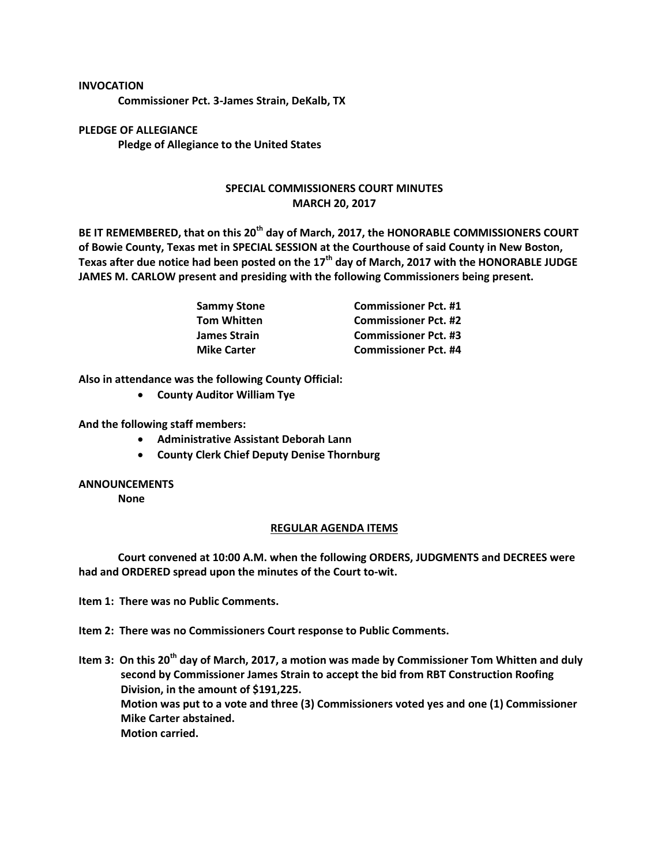## **INVOCATION**

**Commissioner Pct. 3-James Strain, DeKalb, TX**

**PLEDGE OF ALLEGIANCE Pledge of Allegiance to the United States**

## **SPECIAL COMMISSIONERS COURT MINUTES MARCH 20, 2017**

**BE IT REMEMBERED, that on this 20th day of March, 2017, the HONORABLE COMMISSIONERS COURT of Bowie County, Texas met in SPECIAL SESSION at the Courthouse of said County in New Boston, Texas after due notice had been posted on the 17th day of March, 2017 with the HONORABLE JUDGE JAMES M. CARLOW present and presiding with the following Commissioners being present.**

| Sammy Stone        | <b>Commissioner Pct. #1</b> |
|--------------------|-----------------------------|
| Tom Whitten        | <b>Commissioner Pct. #2</b> |
| James Strain       | <b>Commissioner Pct. #3</b> |
| <b>Mike Carter</b> | <b>Commissioner Pct. #4</b> |

**Also in attendance was the following County Official:**

**County Auditor William Tye**

**And the following staff members:**

- **Administrative Assistant Deborah Lann**
- **County Clerk Chief Deputy Denise Thornburg**

## **ANNOUNCEMENTS**

**None**

## **REGULAR AGENDA ITEMS**

**Court convened at 10:00 A.M. when the following ORDERS, JUDGMENTS and DECREES were had and ORDERED spread upon the minutes of the Court to-wit.**

**Item 1: There was no Public Comments.**

**Item 2: There was no Commissioners Court response to Public Comments.**

**Item 3: On this 20th day of March, 2017, a motion was made by Commissioner Tom Whitten and duly second by Commissioner James Strain to accept the bid from RBT Construction Roofing Division, in the amount of \$191,225. Motion was put to a vote and three (3) Commissioners voted yes and one (1) Commissioner Mike Carter abstained. Motion carried.**